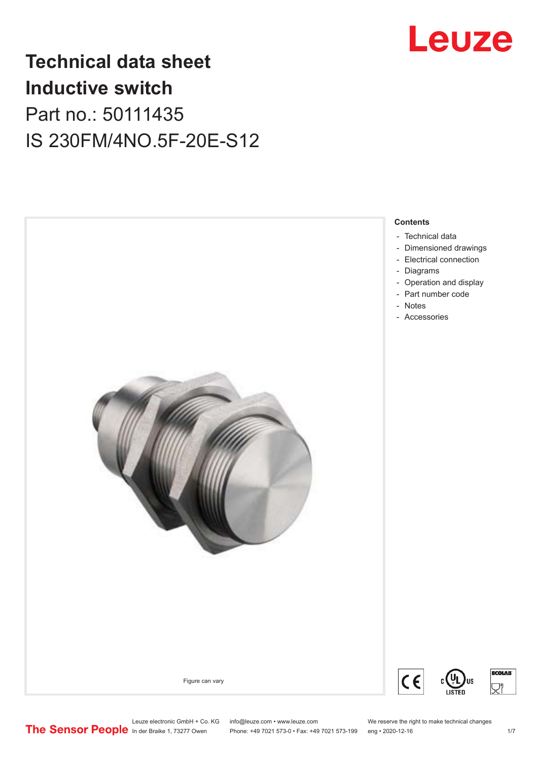

## **Technical data sheet Inductive switch** Part no.: 50111435 IS 230FM/4NO.5F-20E-S12



Leuze electronic GmbH + Co. KG info@leuze.com • www.leuze.com We reserve the right to make technical changes<br>
The Sensor People in der Braike 1, 73277 Owen Phone: +49 7021 573-0 • Fax: +49 7021 573-199 eng • 2020-12-16

Phone: +49 7021 573-0 • Fax: +49 7021 573-199 eng • 2020-12-16

**ECOLAB** 

ヿ゚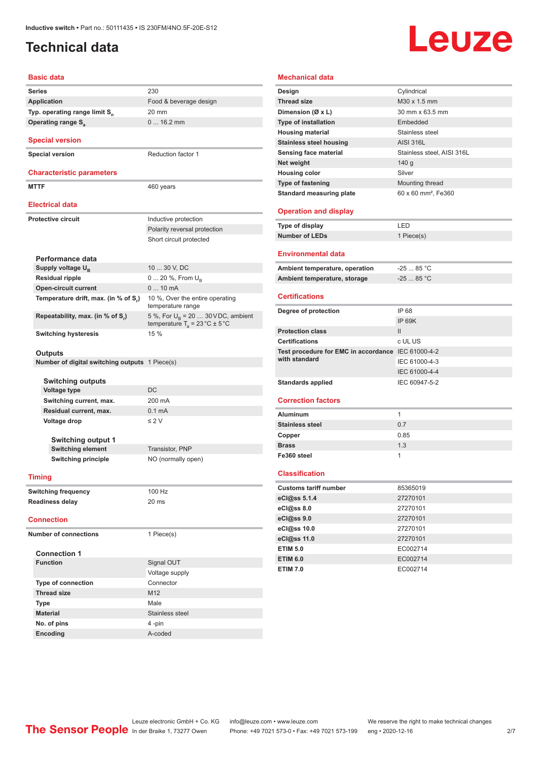#### <span id="page-1-0"></span>**Technical data**

# Leuze

#### **Basic data**

| <b>Series</b>                                         | 230                                                                                       |
|-------------------------------------------------------|-------------------------------------------------------------------------------------------|
| <b>Application</b>                                    | Food & beverage design                                                                    |
| Typ. operating range limit S <sub>n</sub>             | 20 mm                                                                                     |
| <b>Operating range S</b>                              | $016.2$ mm                                                                                |
| <b>Special version</b>                                |                                                                                           |
| <b>Special version</b>                                | <b>Reduction factor 1</b>                                                                 |
| <b>Characteristic parameters</b>                      |                                                                                           |
| <b>MTTF</b>                                           | 460 years                                                                                 |
| <b>Electrical data</b>                                |                                                                                           |
| <b>Protective circuit</b>                             | Inductive protection                                                                      |
|                                                       | Polarity reversal protection                                                              |
|                                                       | Short circuit protected                                                                   |
| Performance data                                      |                                                                                           |
| Supply voltage U <sub>B</sub>                         | 10  30 V, DC                                                                              |
| <b>Residual ripple</b>                                | 0  20 %, From $U_{\rm B}$                                                                 |
| <b>Open-circuit current</b>                           | $010$ mA                                                                                  |
| Temperature drift, max. (in % of S.)                  | 10 %, Over the entire operating<br>temperature range                                      |
| Repeatability, max. (in % of S,)                      | 5 %, For $U_R$ = 20  30 V DC, ambient<br>temperature $T_a = 23 \degree C \pm 5 \degree C$ |
| <b>Switching hysteresis</b>                           | 15 %                                                                                      |
| Outputs                                               |                                                                                           |
| <b>Number of digital switching outputs</b> 1 Piece(s) |                                                                                           |
|                                                       |                                                                                           |
| Switching outputs                                     |                                                                                           |
| Voltage type                                          | DC<br>200 mA                                                                              |
| Switching current, max.                               |                                                                                           |
| Residual current, max.                                | 0.1 <sub>m</sub> A                                                                        |
| Voltage drop                                          | $\leq 2$ V                                                                                |
| <b>Switching output 1</b>                             |                                                                                           |
| <b>Switching element</b>                              | Transistor, PNP                                                                           |
| <b>Switching principle</b>                            | NO (normally open)                                                                        |
| Timing                                                |                                                                                           |
|                                                       |                                                                                           |
| <b>Switching frequency</b>                            | 100 Hz                                                                                    |
| <b>Readiness delay</b>                                | 20 ms                                                                                     |
| <b>Connection</b>                                     |                                                                                           |
| <b>Number of connections</b>                          | 1 Piece(s)                                                                                |
| <b>Connection 1</b>                                   |                                                                                           |
| <b>Function</b>                                       | Signal OUT                                                                                |
|                                                       | Voltage supply                                                                            |
| <b>Type of connection</b>                             | Connector                                                                                 |
| <b>Thread size</b>                                    | M12                                                                                       |
| Type                                                  | Male                                                                                      |
| <b>Material</b>                                       | Stainless steel                                                                           |
| No. of pins                                           | 4 -pin                                                                                    |
| Encoding                                              | A-coded                                                                                   |

#### **Mechanical data**

| Design                                             | Cylindrical                     |
|----------------------------------------------------|---------------------------------|
| <b>Thread size</b>                                 | M30 x 1.5 mm                    |
| Dimension (Ø x L)                                  | 30 mm x 63.5 mm                 |
| <b>Type of installation</b>                        | Embedded                        |
| <b>Housing material</b>                            | Stainless steel                 |
| <b>Stainless steel housing</b>                     | <b>AISI 316L</b>                |
| Sensing face material                              | Stainless steel, AISI 316L      |
| Net weight                                         | 140 <sub>g</sub>                |
| <b>Housing color</b>                               | Silver                          |
| <b>Type of fastening</b>                           | Mounting thread                 |
| <b>Standard measuring plate</b>                    | 60 x 60 mm <sup>2</sup> . Fe360 |
|                                                    |                                 |
| <b>Operation and display</b>                       |                                 |
| <b>Type of display</b>                             | LED                             |
| <b>Number of LEDs</b>                              | 1 Piece(s)                      |
|                                                    |                                 |
| <b>Environmental data</b>                          |                                 |
| Ambient temperature, operation                     | $-2585 °C$                      |
| Ambient temperature, storage                       | $-25$ 85 °C                     |
|                                                    |                                 |
| <b>Certifications</b>                              |                                 |
| Degree of protection                               | IP 68                           |
|                                                    | <b>IP 69K</b>                   |
| <b>Protection class</b>                            | $\mathbf{H}$                    |
| <b>Certifications</b>                              | c UL US                         |
| Test procedure for EMC in accordance IEC 61000-4-2 |                                 |
| with standard                                      | IEC 61000-4-3                   |
|                                                    | IEC 61000-4-4                   |
| <b>Standards applied</b>                           | IEC 60947-5-2                   |
|                                                    |                                 |
| <b>Correction factors</b>                          |                                 |
| <b>Aluminum</b>                                    |                                 |
| <b>Stainless steel</b>                             | 1                               |
|                                                    | 0.7                             |
| Copper                                             | 0.85                            |
| <b>Brass</b>                                       | 1.3                             |
| Fe360 steel                                        | 1                               |
| <b>Classification</b>                              |                                 |
| <b>Customs tariff number</b>                       | 85365019                        |
| eCl@ss 5.1.4                                       | 27270101                        |
| eCl@ss 8.0                                         | 27270101                        |
| eCl@ss 9.0                                         | 27270101                        |
| eCl@ss 10.0                                        | 27270101                        |
| eCl@ss 11.0                                        | 27270101                        |
| <b>ETIM 5.0</b>                                    | EC002714                        |
| <b>ETIM 6.0</b>                                    | EC002714                        |

Leuze electronic GmbH + Co. KG info@leuze.com • www.leuze.com We reserve the right to make technical changes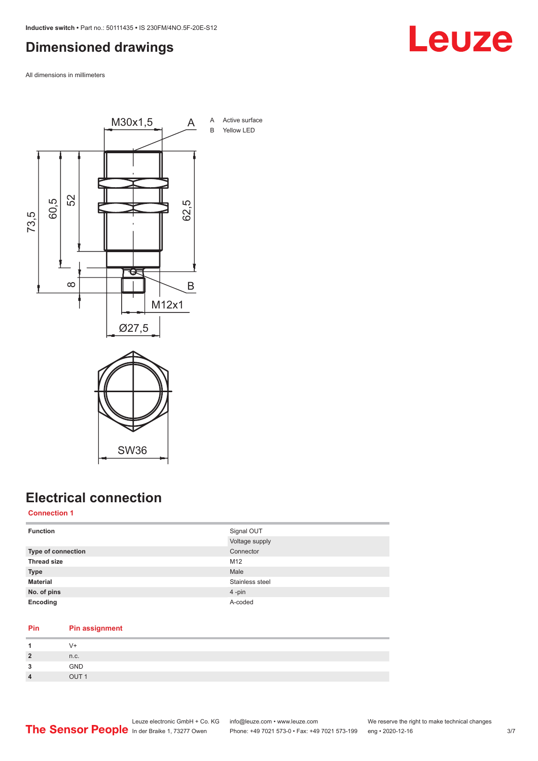#### <span id="page-2-0"></span>**Dimensioned drawings**

All dimensions in millimeters



# SW36

### **Electrical connection**

#### **Connection 1**

| <b>Function</b>    | Signal OUT<br>Voltage supply |
|--------------------|------------------------------|
| Type of connection | Connector                    |
| <b>Thread size</b> | M12                          |
| <b>Type</b>        | Male                         |
| <b>Material</b>    | Stainless steel              |
| No. of pins        | 4-pin                        |
| Encoding           | A-coded                      |

#### **Pin Pin assignment**

|                        | $V +$            |
|------------------------|------------------|
| $\overline{2}$         | n.c.             |
| 3                      | <b>GND</b>       |
| $\boldsymbol{\Lambda}$ | OUT <sub>1</sub> |

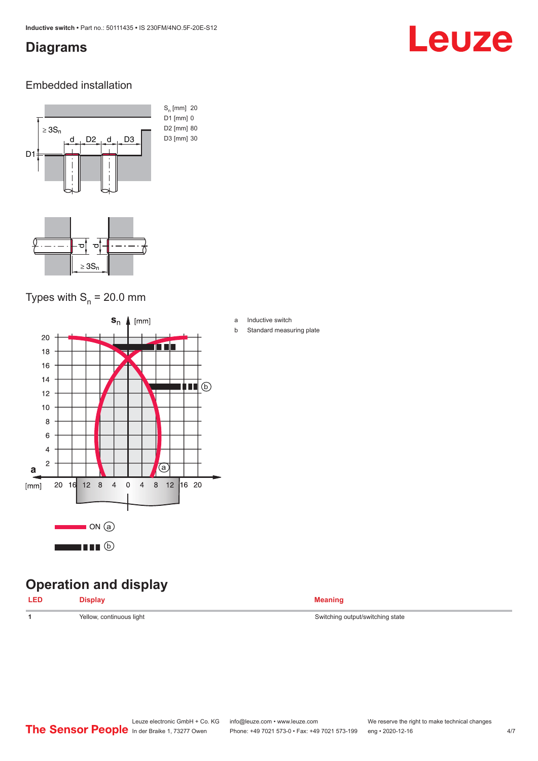#### <span id="page-3-0"></span>**Diagrams**

## Leuze

#### Embedded installation



#### Types with  $S_{n}$  = 20.0 mm



#### **Operation and display**

| <b>LED</b> | <b>Display</b> | <b>Meaning</b> |
|------------|----------------|----------------|
|            |                |                |

1 Yellow, continuous light **Velow, and Switching state** Switching output/switching state

a Inductive switch

b Standard measuring plate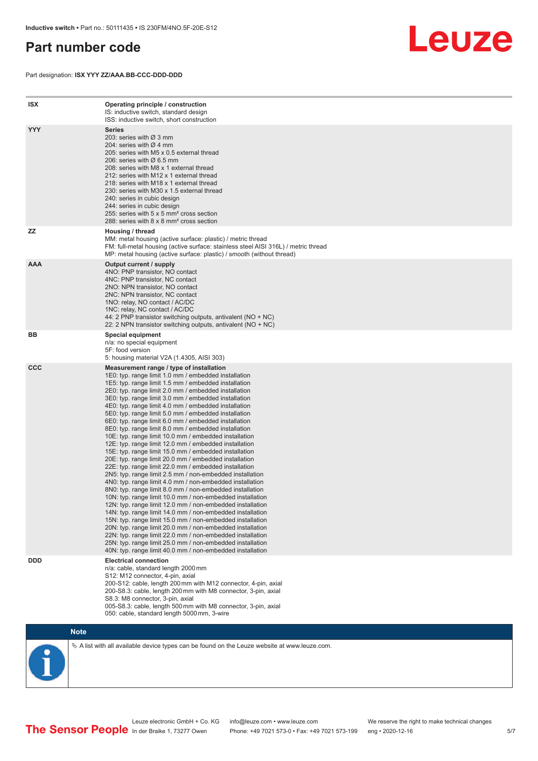#### <span id="page-4-0"></span>**Part number code**

Part designation: **ISX YYY ZZ/AAA.BB-CCC-DDD-DDD**



| <b>ISX</b> | Operating principle / construction<br>IS: inductive switch, standard design<br>ISS: inductive switch, short construction                                                                                                                                                                                                                                                                                                                                                                                                                                                                                                                                                                                                                                                                                                                                                                                                                                                                                                                                                                                                                                                                                                                                                                                                                                                                                                                                                                          |
|------------|---------------------------------------------------------------------------------------------------------------------------------------------------------------------------------------------------------------------------------------------------------------------------------------------------------------------------------------------------------------------------------------------------------------------------------------------------------------------------------------------------------------------------------------------------------------------------------------------------------------------------------------------------------------------------------------------------------------------------------------------------------------------------------------------------------------------------------------------------------------------------------------------------------------------------------------------------------------------------------------------------------------------------------------------------------------------------------------------------------------------------------------------------------------------------------------------------------------------------------------------------------------------------------------------------------------------------------------------------------------------------------------------------------------------------------------------------------------------------------------------------|
| <b>YYY</b> | <b>Series</b><br>203: series with Ø 3 mm<br>204: series with Ø 4 mm<br>205: series with M5 x 0.5 external thread<br>206: series with $\varnothing$ 6.5 mm<br>208: series with M8 x 1 external thread<br>212: series with M12 x 1 external thread<br>218: series with M18 x 1 external thread<br>230: series with M30 x 1.5 external thread<br>240: series in cubic design<br>244: series in cubic design<br>255: series with 5 x 5 mm <sup>2</sup> cross section<br>288: series with 8 x 8 mm <sup>2</sup> cross section                                                                                                                                                                                                                                                                                                                                                                                                                                                                                                                                                                                                                                                                                                                                                                                                                                                                                                                                                                          |
| ZZ         | Housing / thread<br>MM: metal housing (active surface: plastic) / metric thread<br>FM: full-metal housing (active surface: stainless steel AISI 316L) / metric thread<br>MP: metal housing (active surface: plastic) / smooth (without thread)                                                                                                                                                                                                                                                                                                                                                                                                                                                                                                                                                                                                                                                                                                                                                                                                                                                                                                                                                                                                                                                                                                                                                                                                                                                    |
| <b>AAA</b> | Output current / supply<br>4NO: PNP transistor, NO contact<br>4NC: PNP transistor, NC contact<br>2NO: NPN transistor, NO contact<br>2NC: NPN transistor, NC contact<br>1NO: relay, NO contact / AC/DC<br>1NC: relay, NC contact / AC/DC<br>44: 2 PNP transistor switching outputs, antivalent (NO + NC)<br>22: 2 NPN transistor switching outputs, antivalent (NO + NC)                                                                                                                                                                                                                                                                                                                                                                                                                                                                                                                                                                                                                                                                                                                                                                                                                                                                                                                                                                                                                                                                                                                           |
| BВ         | <b>Special equipment</b><br>n/a: no special equipment<br>5F: food version<br>5: housing material V2A (1.4305, AISI 303)                                                                                                                                                                                                                                                                                                                                                                                                                                                                                                                                                                                                                                                                                                                                                                                                                                                                                                                                                                                                                                                                                                                                                                                                                                                                                                                                                                           |
| <b>CCC</b> | Measurement range / type of installation<br>1E0: typ. range limit 1.0 mm / embedded installation<br>1E5: typ. range limit 1.5 mm / embedded installation<br>2E0: typ. range limit 2.0 mm / embedded installation<br>3E0: typ. range limit 3.0 mm / embedded installation<br>4E0: typ. range limit 4.0 mm / embedded installation<br>5E0: typ. range limit 5.0 mm / embedded installation<br>6E0: typ. range limit 6.0 mm / embedded installation<br>8E0: typ. range limit 8.0 mm / embedded installation<br>10E: typ. range limit 10.0 mm / embedded installation<br>12E: typ. range limit 12.0 mm / embedded installation<br>15E: typ. range limit 15.0 mm / embedded installation<br>20E: typ. range limit 20.0 mm / embedded installation<br>22E: typ. range limit 22.0 mm / embedded installation<br>2N5: typ. range limit 2.5 mm / non-embedded installation<br>4N0: typ. range limit 4.0 mm / non-embedded installation<br>8N0: typ. range limit 8.0 mm / non-embedded installation<br>10N: typ. range limit 10.0 mm / non-embedded installation<br>12N: typ. range limit 12.0 mm / non-embedded installation<br>14N: typ. range limit 14.0 mm / non-embedded installation<br>15N: typ. range limit 15.0 mm / non-embedded installation<br>20N: tvp. range limit 20.0 mm / non-embedded installation<br>22N: typ. range limit 22.0 mm / non-embedded installation<br>25N: typ. range limit 25.0 mm / non-embedded installation<br>40N: typ. range limit 40.0 mm / non-embedded installation |
| <b>DDD</b> | <b>Electrical connection</b><br>n/a: cable, standard length 2000 mm<br>S12: M12 connector, 4-pin, axial<br>200-S12: cable, length 200 mm with M12 connector, 4-pin, axial<br>200-S8.3: cable, length 200 mm with M8 connector, 3-pin, axial<br>S8.3: M8 connector, 3-pin, axial<br>005-S8.3: cable, length 500 mm with M8 connector, 3-pin, axial<br>050: cable, standard length 5000 mm, 3-wire                                                                                                                                                                                                                                                                                                                                                                                                                                                                                                                                                                                                                                                                                                                                                                                                                                                                                                                                                                                                                                                                                                  |



 $\%$  A list with all available device types can be found on the Leuze website at www.leuze.com.

Leuze electronic GmbH + Co. KG info@leuze.com • www.leuze.com We reserve the right to make technical changes In der Braike 1, 73277 Owen Phone: +49 7021 573-0 • Fax: +49 7021 573-199 eng • 2020-12-16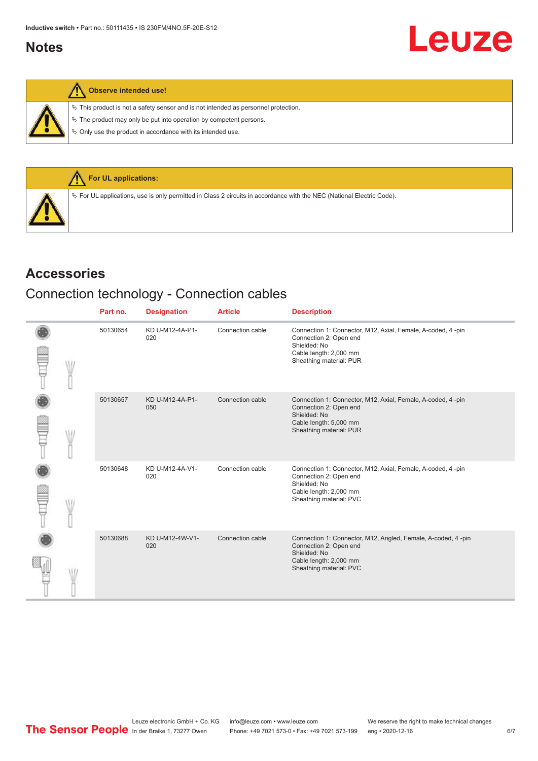#### <span id="page-5-0"></span>**Notes**

#### **Observe intended use!**

 $\%$  This product is not a safety sensor and is not intended as personnel protection.

 $\&$  The product may only be put into operation by competent persons.

 $\%$  Only use the product in accordance with its intended use.



#### **Accessories**

#### Connection technology - Connection cables

|  | Part no. | <b>Designation</b>     | <b>Article</b>   | <b>Description</b>                                                                                                                                           |
|--|----------|------------------------|------------------|--------------------------------------------------------------------------------------------------------------------------------------------------------------|
|  | 50130654 | KD U-M12-4A-P1-<br>020 | Connection cable | Connection 1: Connector, M12, Axial, Female, A-coded, 4 -pin<br>Connection 2: Open end<br>Shielded: No<br>Cable length: 2,000 mm<br>Sheathing material: PUR  |
|  | 50130657 | KD U-M12-4A-P1-<br>050 | Connection cable | Connection 1: Connector, M12, Axial, Female, A-coded, 4-pin<br>Connection 2: Open end<br>Shielded: No<br>Cable length: 5,000 mm<br>Sheathing material: PUR   |
|  | 50130648 | KD U-M12-4A-V1-<br>020 | Connection cable | Connection 1: Connector, M12, Axial, Female, A-coded, 4-pin<br>Connection 2: Open end<br>Shielded: No<br>Cable length: 2,000 mm<br>Sheathing material: PVC   |
|  | 50130688 | KD U-M12-4W-V1-<br>020 | Connection cable | Connection 1: Connector, M12, Angled, Female, A-coded, 4 -pin<br>Connection 2: Open end<br>Shielded: No<br>Cable length: 2,000 mm<br>Sheathing material: PVC |

**Leuze**